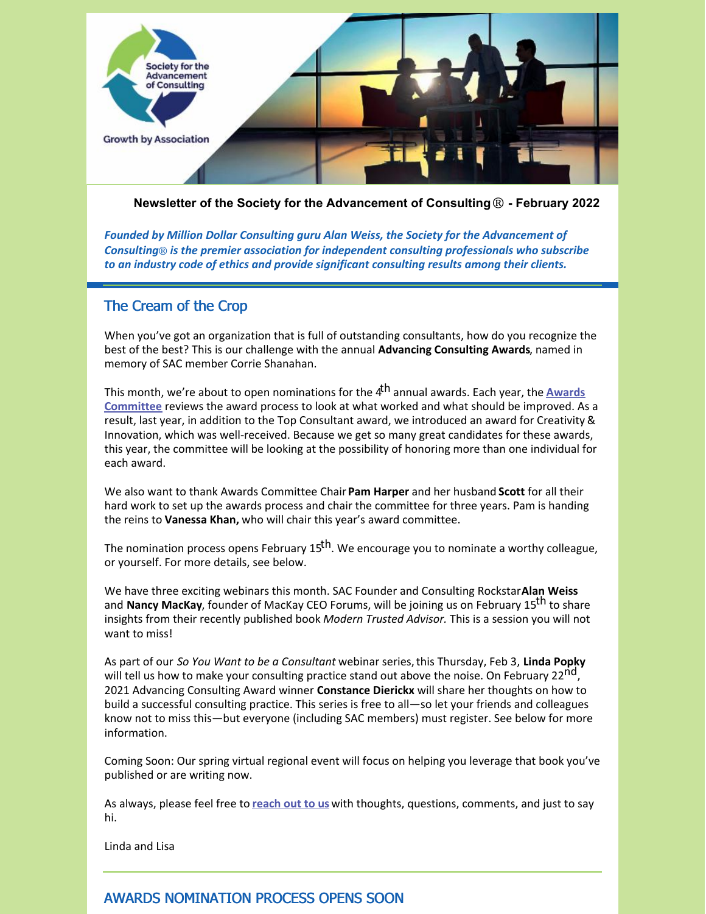

**Newsletter of the Society for the Advancement of Consulting**® **- February 2022**

*Founded by Million Dollar Consulting guru Alan Weiss, the Society for the Advancement of Consulting*® *is the premier association for independent consulting professionals who subscribe to an industry code of ethics and provide significant consulting results among their clients.*

### The Cream of the Crop

When you've got an organization that is full of outstanding consultants, how do you recognize the best of the best? This is our challenge with the annual **Advancing Consulting Awards**, named in memory of SAC member Corrie Shanahan.

This month, we're about to open [nominations](https://consultingsociety.com/programs-events/advancing-consulting-award/meet-the-award-committee/) for the 4 th annual awards. Each year, the **Awards Committee** reviews the award process to look at what worked and what should be improved. As a result, last year, in addition to the Top Consultant award, we introduced an award for Creativity & Innovation, which was well-received. Because we get so many great candidates for these awards, this year, the committee will be looking at the possibility of honoring more than one individual for each award.

We also want to thank Awards Committee Chair**Pam Harper** and her husband **Scott** for all their hard work to set up the awards process and chair the committee for three years. Pam is handing the reins to **Vanessa Khan,** who will chair this year's award committee.

The nomination process opens February 15<sup>th</sup>. We encourage you to nominate a worthy colleague, or yourself. For more details, see below.

We have three exciting webinars this month. SAC Founder and Consulting Rockstar**Alan Weiss** and **Nancy MacKay**, founder of MacKay CEO Forums, will be joining us on February 15<sup>th</sup> to share insights from their recently published book *Modern Trusted Advisor.* This is a session you will not want to miss!

As part of our *So You Want to be a Consultant* webinar series,this Thursday, Feb 3, **Linda Popky** will tell us how to make your consulting practice stand out above the noise. On February 22<sup>nd</sup>, 2021 Advancing Consulting Award winner **Constance Dierickx** will share her thoughts on how to build a successful consulting practice. This series is free to all—so let your friends and colleagues know not to miss this—but everyone (including SAC members) must register. See below for more information.

Coming Soon: Our spring virtual regional event will focus on helping you leverage that book you've published or are writing now.

As always, please feel free to **[reach](mailto:info@consultingsociety.com) out to us** with thoughts, questions, comments, and just to say hi.

Linda and Lisa

# AWARDS NOMINATION PROCESS OPENS SOON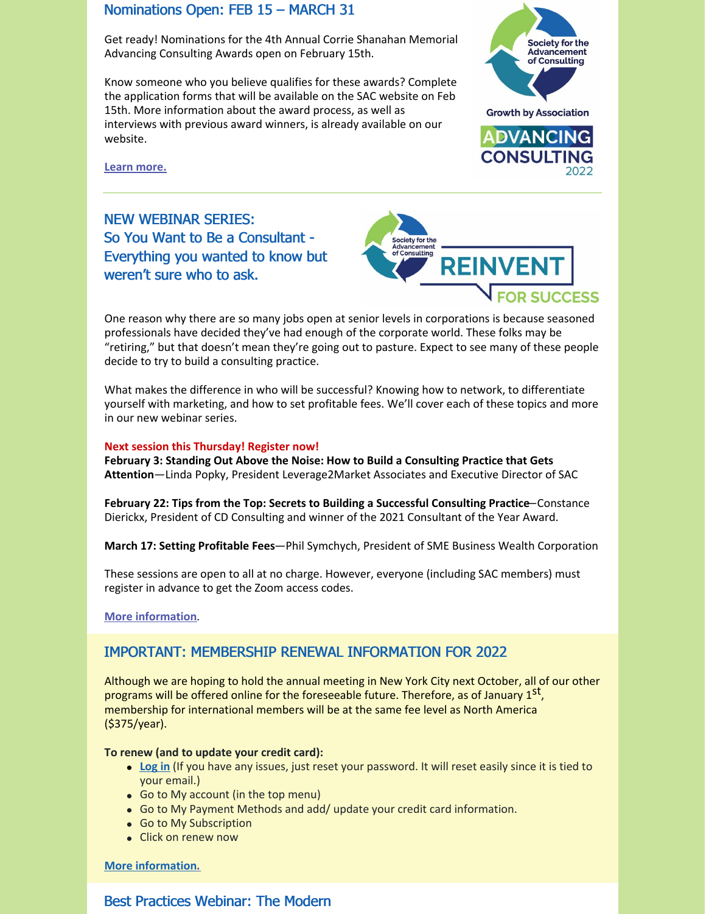### Nominations Open: FEB 15 – MARCH 31

Get ready! Nominations for the 4th Annual Corrie Shanahan Memorial Advancing Consulting Awards open on February 15th.

Know someone who you believe qualifies for these awards? Complete the application forms that will be available on the SAC website on Feb 15th. More information about the award process, as well as interviews with previous award winners, is already available on our website.



**Learn [more.](https://consultingsociety.com/programs-events/advancing-consulting-award/)**

NEW WEBINAR SERIES: So You Want to Be a Consultant - Everything you wanted to know but weren't sure who to ask.



One reason why there are so many jobs open at senior levels in corporations is because seasoned professionals have decided they've had enough of the corporate world. These folks may be "retiring," but that doesn't mean they're going out to pasture. Expect to see many of these people decide to try to build a consulting practice.

What makes the difference in who will be successful? Knowing how to network, to differentiate yourself with marketing, and how to set profitable fees. We'll cover each of these topics and more in our new webinar series.

#### **Next session this Thursday! Register now!**

**February 3: Standing Out Above the Noise: How to Build a Consulting Practice that Gets Attention**—Linda Popky, President Leverage2Market Associates and Executive Director of SAC

**February 22: Tips from the Top: Secrets to Building a Successful Consulting Practice**—Constance Dierickx, President of CD Consulting and winner of the 2021 Consultant of the Year Award.

**March 17: Setting Profitable Fees**—Phil Symchych, President of SME Business Wealth Corporation

These sessions are open to all at no charge. However, everyone (including SAC members) must register in advance to get the Zoom access codes.

**More [information](http://consultingsociety.com/reinvent-for-success-webinars/)**.

### IMPORTANT: MEMBERSHIP RENEWAL INFORMATION FOR 2022

Although we are hoping to hold the annual meeting in New York City next October, all of our other programs will be offered online for the foreseeable future. Therefore, as of January 1st, membership for international members will be at the same fee level as North America (\$375/year).

#### **To renew (and to update your credit card):**

- **[Log](https://consultingsociety.com/) in** (If you have any issues, just reset your password. It will reset easily since it is tied to your email.)
- Go to My account (in the top menu)
- Go to My Payment Methods and add/ update your credit card information.
- Go to My Subscription
- Click on renew now

**More [information.](https://consultingsociety.com/membership/membership-types)**

### Best Practices Webinar: The Modern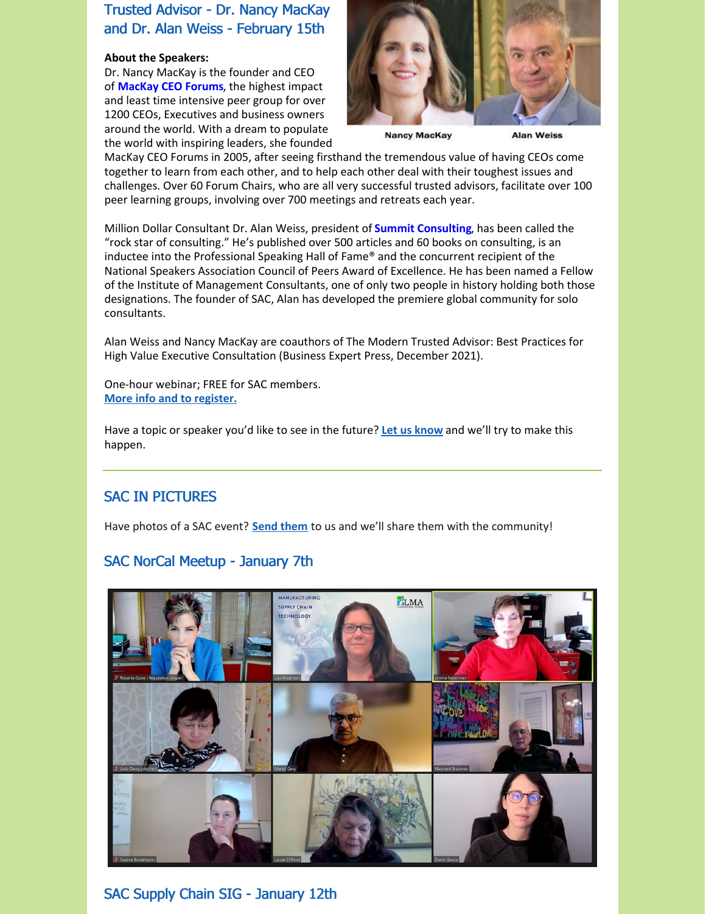# Trusted Advisor - Dr. Nancy MacKay and Dr. Alan Weiss - February 15th

#### **About the Speakers:**

Dr. Nancy MacKay is the founder and CEO of **[MacKay](https://mackayceoforums.com/) CEO Forums**, the highest impact and least time intensive peer group for over 1200 CEOs, Executives and business owners around the world. With a dream to populate the world with inspiring leaders, she founded



**Nancy MacKay** 

**Alan Weiss** 

MacKay CEO Forums in 2005, after seeing firsthand the tremendous value of having CEOs come together to learn from each other, and to help each other deal with their toughest issues and challenges. Over 60 Forum Chairs, who are all very successful trusted advisors, facilitate over 100 peer learning groups, involving over 700 meetings and retreats each year.

Million Dollar Consultant Dr. Alan Weiss, president of **Summit [Consulting](https://www.alanweiss.com/)**, has been called the "rock star of consulting." He's published over 500 articles and 60 books on consulting, is an inductee into the Professional Speaking Hall of Fame® and the concurrent recipient of the National Speakers Association Council of Peers Award of Excellence. He has been named a Fellow of the Institute of Management Consultants, one of only two people in history holding both those designations. The founder of SAC, Alan has developed the premiere global community for solo consultants.

Alan Weiss and Nancy MacKay are coauthors of The Modern Trusted Advisor: Best Practices for High Value Executive Consultation (Business Expert Press, December 2021).

One-hour webinar; FREE for SAC members. **More info and to [register.](https://consultingsociety.com/programs-events/best-practices-webinars/#mackay-0222)**

Have a topic or speaker you'd like to see in the future? **Let us [know](mailto:info@consultingsociety.com)** and we'll try to make this happen.

# SAC IN PICTURES

Have photos of a SAC event? **Send [them](mailto:info@consultingsociety.com)** to us and we'll share them with the community!

# SAC NorCal Meetup - January 7th



SAC Supply Chain SIG - January 12th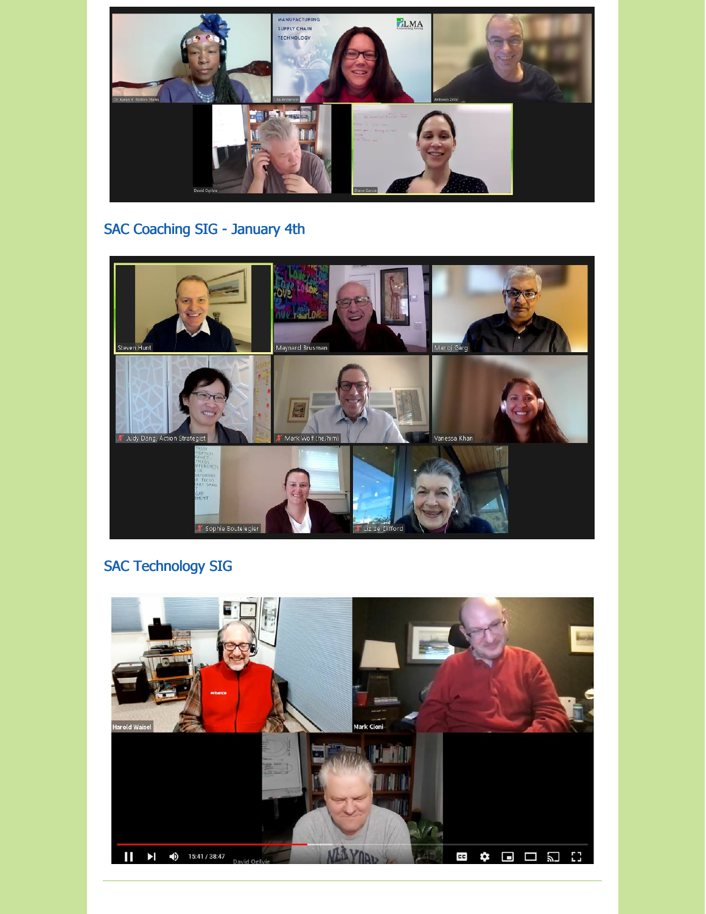

# SAC Coaching SIG - January 4th



# SAC Technology SIG

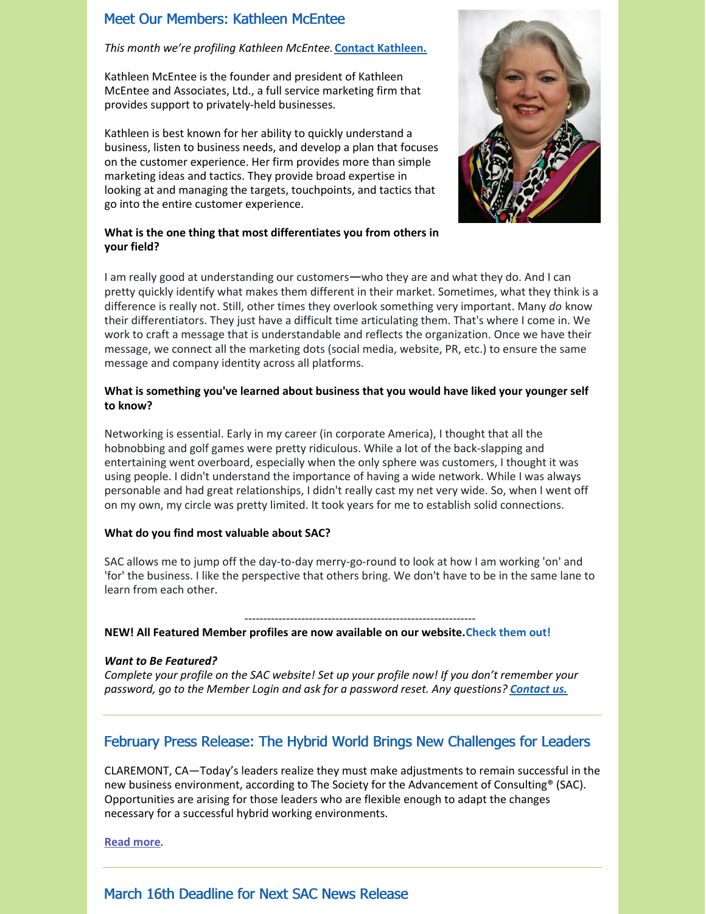### Meet Our Members: Kathleen McEntee

#### *This month we're profiling Kathleen McEntee.* **Contact [Kathleen.](https://consultingsociety.com/user/kmcentee/)**

Kathleen McEntee is the founder and president of Kathleen McEntee and Associates, Ltd., a full service marketing firm that provides support to privately-held businesses.

Kathleen is best known for her ability to quickly understand a business, listen to business needs, and develop a plan that focuses on the customer experience. Her firm provides more than simple marketing ideas and tactics. They provide broad expertise in looking at and managing the targets, touchpoints, and tactics that go into the entire customer experience.



#### **What is the one thing that most differentiates you from others in your field?**

I am really good at understanding our customers—who they are and what they do. And I can pretty quickly identify what makes them different in their market. Sometimes, what they think is a difference is really not. Still, other times they overlook something very important. Many *do* know their differentiators. They just have a difficult time articulating them. That's where I come in. We work to craft a message that is understandable and reflects the organization. Once we have their message, we connect all the marketing dots (social media, website, PR, etc.) to ensure the same message and company identity across all platforms.

#### **What is something you've learned about business that you would have liked your younger self to know?**

Networking is essential. Early in my career (in corporate America), I thought that all the hobnobbing and golf games were pretty ridiculous. While a lot of the back-slapping and entertaining went overboard, especially when the only sphere was customers, I thought it was using people. I didn't understand the importance of having a wide network. While I was always personable and had great relationships, I didn't really cast my net very wide. So, when I went off on my own, my circle was pretty limited. It took years for me to establish solid connections.

#### **What do you find most valuable about SAC?**

SAC allows me to jump off the day-to-day merry-go-round to look at how I am working 'on' and 'for' the business. I like the perspective that others bring. We don't have to be in the same lane to learn from each other.

------------------------------------------------------------- **NEW! All Featured Member profiles are now available on our website.Check them out!**

#### *Want to Be Featured?*

*Complete your profile on the SAC website! Set up your profile now! If you don't remember your password, go to the Member Login and ask for a password reset. Any questions? [Contact](mailto:info@consultingsociety.com) us.*

### February Press Release: The Hybrid World Brings New Challenges for Leaders

CLAREMONT, CA—Today's leaders realize they must make adjustments to remain successful in the new business environment, according to The Society for the Advancement of Consulting® (SAC). Opportunities are arising for those leaders who are flexible enough to adapt the changes necessary for a successful hybrid working environments.

**[Read](https://consultingsociety.com/resources/press-releases/news_release-2-1-22/) more**.

### March 16th Deadline for Next SAC News Release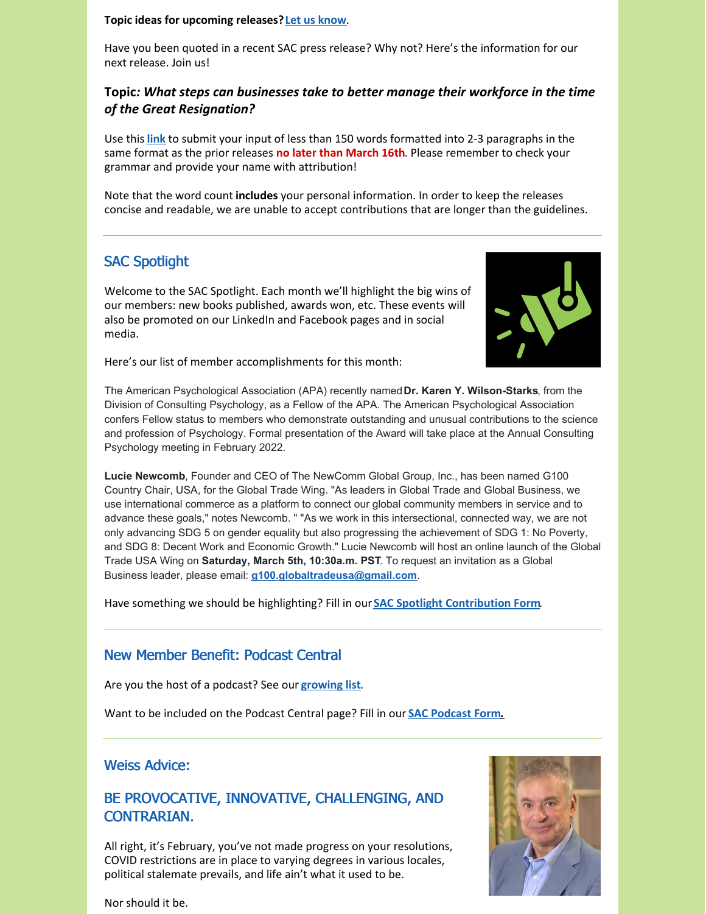#### **Topic ideas for upcoming releases?Let us [know](mailto:info@consultingsociety.com)**.

Have you been quoted in a recent SAC press release? Why not? Here's the information for our next release. Join us!

### **Topic***: What steps can businesses take to better manage their workforce in the time of the Great Resignation?*

Use this **[link](https://consultingsociety.com/press-release-contribution/)** to submit your input of less than 150 words formatted into 2-3 paragraphs in the same format as the prior releases **no later than March 16th**. Please remember to check your grammar and provide your name with attribution!

Note that the word count **includes** your personal information. In order to keep the releases concise and readable, we are unable to accept contributions that are longer than the guidelines.

# SAC Spotlight

Welcome to the SAC Spotlight. Each month we'll highlight the big wins of our members: new books published, awards won, etc. These events will also be promoted on our LinkedIn and Facebook pages and in social media.



Here's our list of member accomplishments for this month:

The American Psychological Association (APA) recently named**Dr. Karen Y. Wilson-Starks**, from the Division of Consulting Psychology, as a Fellow of the APA. The American Psychological Association confers Fellow status to members who demonstrate outstanding and unusual contributions to the science and profession of Psychology. Formal presentation of the Award will take place at the Annual Consulting Psychology meeting in February 2022.

**Lucie Newcomb**, Founder and CEO of The NewComm Global Group, Inc., has been named G100 Country Chair, USA, for the Global Trade Wing. "As leaders in Global Trade and Global Business, we use international commerce as a platform to connect our global community members in service and to advance these goals," notes Newcomb. " "As we work in this intersectional, connected way, we are not only advancing SDG 5 on gender equality but also progressing the achievement of SDG 1: No Poverty, and SDG 8: Decent Work and Economic Growth." Lucie Newcomb will host an online launch of the Global Trade USA Wing on **Saturday, March 5th, 10:30a.m. PST**. To request an invitation as a Global Business leader, please email: **[g100.globaltradeusa@gmail.com](mailto:g100.globaktradeusa@gmail.com)**.

Have something we should be highlighting? Fill in our **SAC Spotlight [Contribution](https://consultingsociety.com/sac-spotlight/) Form**.

### New Member Benefit: Podcast Central

Are you the host of a podcast? See our **[growing](https://consultingsociety.com/resources/podcast-central/) list**.

Want to be included on the Podcast Central page? Fill in our **SAC [Podcast](https://consultingsociety.com/podcast-central-contribution-form/) For[m.](https://consultingsociety.com/podcast-central-contribution-form/)**

### Weiss Advice:

# BE PROVOCATIVE, INNOVATIVE, CHALLENGING, AND CONTRARIAN.

All right, it's February, you've not made progress on your resolutions, COVID restrictions are in place to varying degrees in various locales, political stalemate prevails, and life ain't what it used to be.



Nor should it be.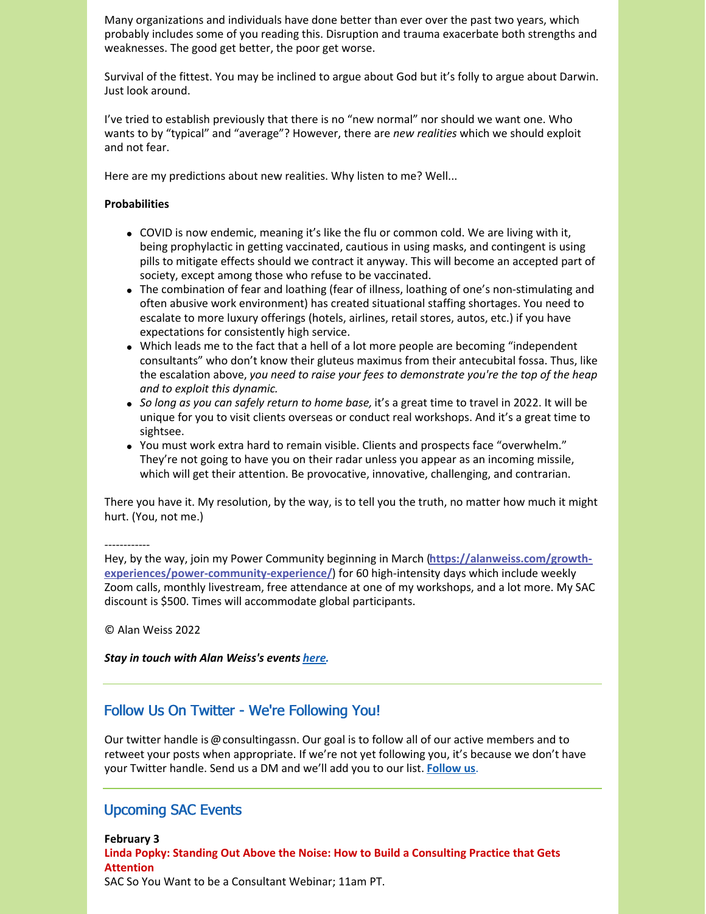Many organizations and individuals have done better than ever over the past two years, which probably includes some of you reading this. Disruption and trauma exacerbate both strengths and weaknesses. The good get better, the poor get worse.

Survival of the fittest. You may be inclined to argue about God but it's folly to argue about Darwin. Just look around.

I've tried to establish previously that there is no "new normal" nor should we want one. Who wants to by "typical" and "average"? However, there are *new realities* which we should exploit and not fear.

Here are my predictions about new realities. Why listen to me? Well...

#### **Probabilities**

- COVID is now endemic, meaning it's like the flu or common cold. We are living with it, being prophylactic in getting vaccinated, cautious in using masks, and contingent is using pills to mitigate effects should we contract it anyway. This will become an accepted part of society, except among those who refuse to be vaccinated.
- The combination of fear and loathing (fear of illness, loathing of one's non-stimulating and often abusive work environment) has created situational staffing shortages. You need to escalate to more luxury offerings (hotels, airlines, retail stores, autos, etc.) if you have expectations for consistently high service.
- Which leads me to the fact that a hell of a lot more people are becoming "independent consultants" who don't know their gluteus maximus from their antecubital fossa. Thus, like the escalation above, *you need to raise your fees to demonstrate you're the top of the heap and to exploit this dynamic.*
- *So long as you can safely return to home base,* it's a great time to travel in 2022. It will be unique for you to visit clients overseas or conduct real workshops. And it's a great time to sightsee.
- You must work extra hard to remain visible. Clients and prospects face "overwhelm." They're not going to have you on their radar unless you appear as an incoming missile, which will get their attention. Be provocative, innovative, challenging, and contrarian.

There you have it. My resolution, by the way, is to tell you the truth, no matter how much it might hurt. (You, not me.)

#### ------------

Hey, by the way, join my Power Community beginning in March (**https://alanweiss.com/growth[experiences/power-community-experience/](https://alanweiss.com/growth-experiences/power-community-experience/)**) for 60 high-intensity days which include weekly Zoom calls, monthly livestream, free attendance at one of my workshops, and a lot more. My SAC discount is \$500. Times will accommodate global participants.

© Alan Weiss 2022

#### *Stay in touch with Alan Weiss's events [here](https://www.alanweiss.com/growth-experiences/).*

### Follow Us On Twitter - We're Following You!

Our twitter handle is @consultingassn. Our goal is to follow all of our active members and to retweet your posts when appropriate. If we're not yet following you, it's because we don't have your Twitter handle. Send us a DM and we'll add you to our list. **[Follow](https://twitter.com/ConsultingAssn) us**.

#### Upcoming SAC Events

**February 3 Linda Popky: Standing Out Above the Noise: How to Build a Consulting Practice that Gets Attention** SAC So You Want to be a Consultant Webinar; 11am PT.